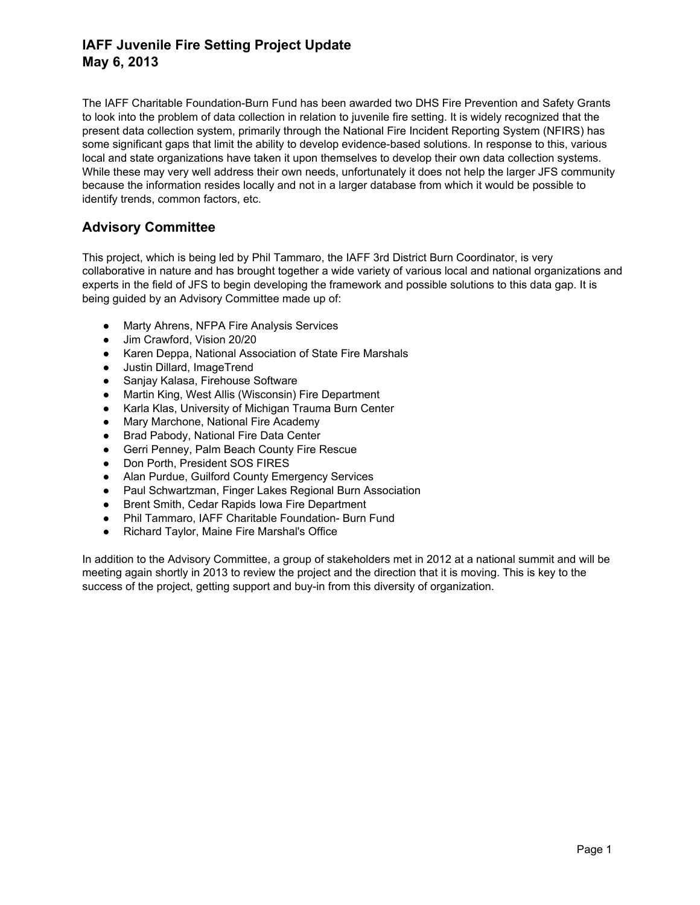## **IAFF Juvenile Fire Setting Project Update May 6, 2013**

The IAFF Charitable Foundation-Burn Fund has been awarded two DHS Fire Prevention and Safety Grants to look into the problem of data collection in relation to juvenile fire setting. It is widely recognized that the present data collection system, primarily through the National Fire Incident Reporting System (NFIRS) has some significant gaps that limit the ability to develop evidence-based solutions. In response to this, various local and state organizations have taken it upon themselves to develop their own data collection systems. While these may very well address their own needs, unfortunately it does not help the larger JFS community because the information resides locally and not in a larger database from which it would be possible to identify trends, common factors, etc.

### **Advisory Committee**

This project, which is being led by Phil Tammaro, the IAFF 3rd District Burn Coordinator, is very collaborative in nature and has brought together a wide variety of various local and national organizations and experts in the field of JFS to begin developing the framework and possible solutions to this data gap. It is being guided by an Advisory Committee made up of:

- Marty Ahrens, NFPA Fire Analysis Services
- Jim Crawford, Vision 20/20
- Karen Deppa, National Association of State Fire Marshals
- Justin Dillard, ImageTrend
- Sanjay Kalasa, Firehouse Software
- Martin King, West Allis (Wisconsin) Fire Department
- Karla Klas, University of Michigan Trauma Burn Center
- Mary Marchone, National Fire Academy
- Brad Pabody, National Fire Data Center
- Gerri Penney, Palm Beach County Fire Rescue
- Don Porth, President SOS FIRES
- Alan Purdue, Guilford County Emergency Services
- Paul Schwartzman, Finger Lakes Regional Burn Association
- Brent Smith, Cedar Rapids Iowa Fire Department
- Phil Tammaro, IAFF Charitable Foundation- Burn Fund
- Richard Taylor, Maine Fire Marshal's Office

In addition to the Advisory Committee, a group of stakeholders met in 2012 at a national summit and will be meeting again shortly in 2013 to review the project and the direction that it is moving. This is key to the success of the project, getting support and buy-in from this diversity of organization.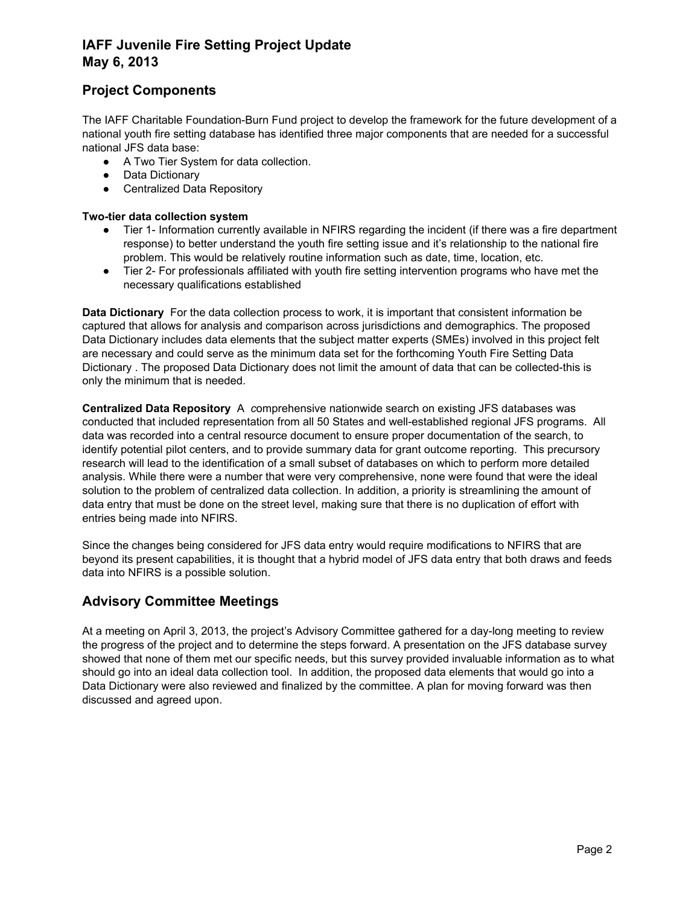# **IAFF Juvenile Fire Setting Project Update May 6, 2013**

## **Project Components**

The IAFF Charitable Foundation-Burn Fund project to develop the framework for the future development of a national youth fire setting database has identified three major components that are needed for a successful national JFS data base:

- A Two Tier System for data collection.
- Data Dictionary
- Centralized Data Repository

#### **Two-tier data collection system**

- Tier 1- Information currently available in NFIRS regarding the incident (if there was a fire department response) to better understand the youth fire setting issue and it's relationship to the national fire problem. This would be relatively routine information such as date, time, location, etc.
- Tier 2- For professionals affiliated with youth fire setting intervention programs who have met the necessary qualifications established

**Data Dictionary** For the data collection process to work, it is important that consistent information be captured that allows for analysis and comparison across jurisdictions and demographics. The proposed Data Dictionary includes data elements that the subject matter experts (SMEs) involved in this project felt are necessary and could serve as the minimum data set for the forthcoming Youth Fire Setting Data Dictionary . The proposed Data Dictionary does not limit the amount of data that can be collected-this is only the minimum that is needed.

**Centralized Data Repository** A *c*omprehensive nationwide search on existing JFS databases was conducted that included representation from all 50 States and wellestablished regional JFS programs. All data was recorded into a central resource document to ensure proper documentation of the search, to identify potential pilot centers, and to provide summary data for grant outcome reporting. This precursory research will lead to the identification of a small subset of databases on which to perform more detailed analysis. While there were a number that were very comprehensive, none were found that were the ideal solution to the problem of centralized data collection. In addition, a priority is streamlining the amount of data entry that must be done on the street level, making sure that there is no duplication of effort with entries being made into NFIRS.

Since the changes being considered for JFS data entry would require modifications to NFIRS that are beyond its present capabilities, it is thought that a hybrid model of JFS data entry that both draws and feeds data into NFIRS is a possible solution.

# **Advisory Committee Meetings**

At a meeting on April 3, 2013, the project's Advisory Committee gathered for a daylong meeting to review the progress of the project and to determine the steps forward. A presentation on the JFS database survey showed that none of them met our specific needs, but this survey provided invaluable information as to what should go into an ideal data collection tool. In addition, the proposed data elements that would go into a Data Dictionary were also reviewed and finalized by the committee. A plan for moving forward was then discussed and agreed upon.